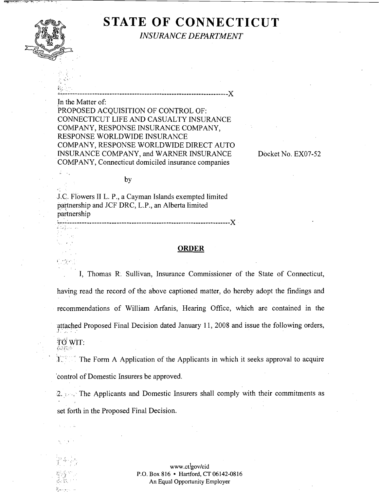

**<sup>1</sup>**.,

# **STATE OF CONNECTICUT**

*INSURANCE DEPARTMENT* 

..................................................................... X

In the Matter of: PROPOSED ACOUISITION OF CONTROL OF: CONNECTICUT LIFE AND CASUALTY INSURANCE COMPANY, RESPONSE INSURANCE COMPANY, RESPONSE WORLDWIDE INSURANCE COMPANY, RESPONSE WORLDWIDE DIRECT AUTO INSURANCE COMPANY, and WARNER INSURANCE Docket No. EX07-52 COMPANY, Connecticut domiciled insurance companies

by

J.C. Flowers I1 L. P., a Cayman Islands exempted limited partnership and JCF DRC, L.P., an Alberta limited partnership 

# **ORDER**

I, Thomas R. Sullivan, Insurance Commissioner of the State of Connecticut, having read the record of the above captioned matter, do hereby adopt the findings and recommendations of William Arfanis, Hearing Office, which are contained in the attached Proposed Final Decision dated January 11, 2008 and issue the following orders, *.I* . ., . **I** . TO WIT: 63(42)

1. ' The Form A Application of the Applicants in which it seeks approval to acquire control of Domestic Insurers be approved.

2.  $\mathbb{R}^2$ , The Applicants and Domestic Insurers shall comply with their commitments as set forth in the Proposed Final Decision.

> www.ct!gov/cid P.O. Box 816 • Hartford, CT 06142-0816 An Equal Opportunity Employer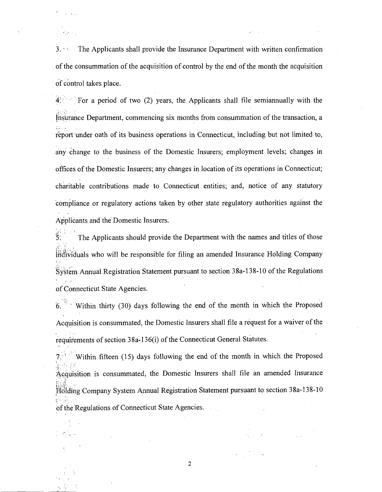*3.* i The Applicants shall provide the Insurance Department with written confirmation of the consummation of the acquisition of control by the end of the month the acquisition of control takes place.

 $\mathbb{R}^3 \times \mathbb{R}^3$ 

 $\sim$  .

 $4^{1/2}$  For a period of two (2) years, the Applicants shall file semiannually with the  $\mathbb{R}^{\frac{1}{2}}$  . . . Insurance Department, commencing six months from consummation of the transaction, a report under oath of its business operations in Connecticut, including but not limited to, any change to the business of the Domestic Insurers; employment levels; changes in offices of the Domestic Insurers; any changes in location of its operations in Connecticut; charitable contributions made to Connecticut entities; and, notice of any statutory compliance or regulatory actions taken by other state regulatory authorities against the Applicants and the Domestic Insurers.

The Applicants should provide the Department with the names and titles of those  $\sim$   $\%$ i:<br>in:1: 1. . individuals who will be responsible for filing an amended Insurance Holding Company :':. . . .-..: .,.- System Annual Registration Statement pursuant to section 38a-138-10 of the Regulations . , of Connecticut State Agencies.

*6.* Within thirty (30) days following the end of the month in which the Proposed Acquisition is consummated, the Domestic Insurers shall file a request for a waiver of the requirements of section 38a-136(i) of the Connecticut General statutes.

Within fifteen (15) days following the end of the month in which the Proposed ' I . . . .I .? . . . , ,., ..:, **<sup>7</sup>** Acquisition is consummated, the Domestic Insurers shall file an amended Insurance Holding Company System Annual Registration Statement pursuant to section 38a-138-10 **<sup>5</sup>**' of the Regulations of Connecticut State Agencies.

 $\overline{2}$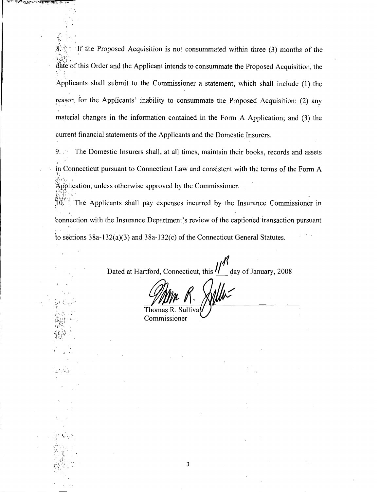If the Proposed Acquisition is not consummated within three  $(3)$  months of the . .. , . , **i** rn : . **\*.'j\:** .. . **I-: t**  date of this Order and the Applicant intends to consummate the Proposed Acquisition, the  $\mathcal{F}(\mathcal{X})$ Applicants shall submit to the Commissioner a statement, which shall include (1) the reason for the Applicants' inability to consummate the Proposed Acquisition; (2) any material changes in the information contained in the Form A Application; and (3) the current financial statements of the Applicants and the Domestic Insurers.

. ..

<..:.;.- **I.,** .:.:.;. '

9. The Domestic Insurers shall, at all times, maintain their books, records and assets in Connecticut pursuant to Connecticut Law and consistent with the terms of the Form A . , ...<br>Adole  $\Delta$ pplication, unless otherwise approved by the Commissioner.

 $\sum_{i=1}^{n} \sum_{j=1}^{n} \sum_{j=1}^{n}$ <sup>1</sup>The Applicants shall pay expenses incurred by the Insurance Commissioner in connection with the Insurance Department's review of the captioned transaction pursuant to sections 38a-132(a)(3) and 38a-132(c) of the Connecticut General Statutes.

Dated at Hartford, Connecticut, this  $\frac{H}{dx}$  day of January, 2008

Thomas R. Commissioner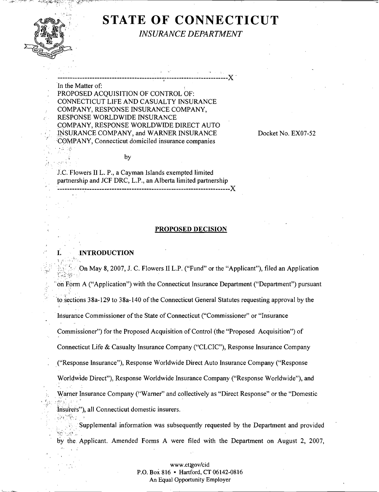

. . .  $\mathbb{R}^k$ **i** 

8

 $\mathcal{L} \rightarrow \mathcal{L}$ 

 $\tilde{g}_{\tilde{t},\tilde{t}}$  , ...,  $\tilde{g}_{\tilde{t}}$ 

, .

. .

.a

# **STATE OF CONNECTICUT**

*INSURANCE DEPARTMENT* 

: **I' '1** :

'In the Matter of: PROPOSED ACQUISITION OF CONTROL OF: CONNECTICUT LIFE AND CASUALTY INSURANCE : COMPANY, RESPONSE INSURANCE COMPANY, : RESPONSE WORLDWIDE INSURANCE COMPANY, RESPONSE WORLDWIDE DIRECT AUTO : .INSURANCE COMPANY, and WARNER INSURANCE COMPANY, Connecticut domiciled insurance companies

by

, ..................................................................... r X

Docket No. EX07-52

J.C.'Flowers I1 L. P., a Cayman Islands exempted limited partnership and JCF DRC, L.P., an Alberta limited partnership ~\* . ...................................................................... X

#### **PROPOSED DECISION**

#### **I. INTRODUCTION**

 $\mathbb{R} \oplus \mathbb{N}$  ,  $\mathbb{R} \oplus \mathbb{C}$ , : ::.:. ..r,. On May 8, 2007, J. C. Flowers I1 L.P.("Fund" or the "Applicant"), filed an Application ;!.;, .',i **1;** . . : . / ' on Form A ("Application") with the Connecticut Insurance Department ("Department") pursuant to kections 38a-129 to 38a-140 of the Connecticut General Statutes requesting approval by the Insurance Commissioner of the State of Connecticut ("Commissioner" or "Insurance Commissioner") for the Proposed Acquisition of Control (the "Proposed Acquisition") of Connecticut Life & Casualty Insurance Company ("CLCIC"), Response Insurance Company ("Response Insurance"), Response Worldwide Direct Auto Insurance Company ("Response") Worldwide Direct"), Response Worldwide Insurance Company ("Response Worldwide"), and . . " . . .. Warner Insurance Company ("Warner" and collectively as "Direct Response" or the "Domestic  $\lim$  insurers"), all Connecticut domestic insurers. . Supplemental information was subsequently requested by the Department and provided

**7-?..** ., .,<. I. , ...\_.. **I..**  by the, Applicant. Amended Forms A were filed with the Department on August 2, 2007, -. , **3.** 

> www.ctlgov/cid P.O. Box **816** Hartford, **CT 06142-0816**  An **Equal** Opportunity Employer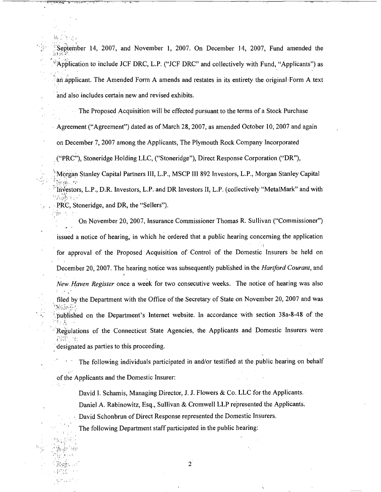September 14, 2007, and November 1, 2007. On December 14, 2007, Fund amended the , . '. "Application to include JCF DRC, L.P. ("JCF DRC" and collectively with Fund, "Applicants") as ' ari applicant. The Amended Form A amends and restates in its entirety the original Form A text . and also includes certain new and revised exhibits.

The Proposed Acquisition will be effected pursuant to the terms of a Stock Purchase

Agreement ("Agreement") dated as of March 28,2007, as amended October 10,2007 and again

on December 7,2007 among the Applicants, The Plymouth Rock Company Incorporated

. ("PRC"), Stoneridge Holding LLC, ("Stoneridge"), Direct Response Corporation ("DR),

Morgan Stanley Capital Partners III, L.P., MSCP III 892 Investors, L.P., Morgan Stanley Capital .:<br>*Notation* 

Investors, L.P., D.R. Investors, L.P. and DR Investors II, L.P. (collectively "MetalMark" and with ;-: ;,.; ,. ,!%. j : ' ' :. , . .. . PRC, Stoneridge, and DR, the "Sellers").

On November 20, 2007, Insurance Commissioner Thomas R. Sullivan ("Commissioner") ,I issued a notice of hearing, in which he ordered that a public hearing concerning the application for approval of the Proposed Acquisition of Control of the Domestic Insurers be held on ,  $\mathbb{R}^n$ December 20, 2007. The hearing notice was subsequently published in the *Hartford Courant*, and **<sup>I</sup>**. . New Haven Register once a week for two consecutive weeks. The notice of hearing was also filed by the Department with the Office of the Secretary of State on November 20, 2007 and was  $\mathbb{R}^n$ , ... published on the Department's Internet website. In accordance with section 38a-8-48 of the  $\mathbb{R}^n \times \mathbb{R}^n \times \mathbb{R}^n$ '.'Regulations of the Connecticut State Agencies, the Applicants and Domestic Insurers were

designated as parties to this proceeding.

The following individuals participated in and/or testified at the public hearing on behalf

of the Applicants and the Domestic Insurer:

David I. Schamis, Managing Director, J. J. Flowers & Co. LLC for the Applicants.

Daniel A. Rabinowitz, Esq., Sullivan & Cromwell LLP represented the Applicants.

, David Schonbrun of Direct Response represented the Domestic Insurers.

The following Department staff participated in the public hearing:

 $2^{7}$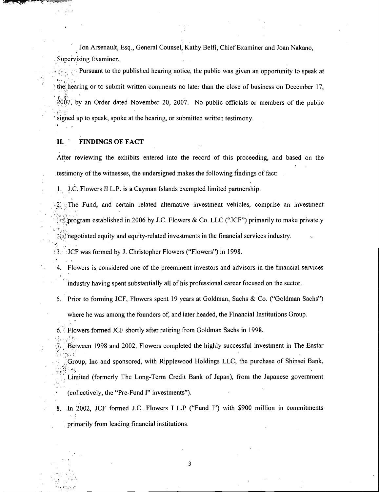Jon Arsenault, Esq., General Counsel, Kathy Belfi, Chief Examiner and Joan Nakano, supervising Examiner.

Pursuant to the published hearing notice, the public was given an opportunity to speak at **b r**  , **9.** ', the hearing or to submit written comments no later than the close of business on December 17, , **C** ? ' :: .\$ 2007, by an Order dated November 20, 2007. No public officials or members of the public signed up to speak, spoke at the hearing, or submitted written testimony.

# **11.** ' **FINDINGS OF FACT**

: **I,.** '

- 353

, ..

After reviewing the exhibits entered into the record of this proceeding, and based on the testimony of the witnesses, the undersigned makes the following findings of fact:

1. J.C. Flowers II L.P. is a Cayman Islands exempted limited partnership.

<sup>2</sup>. <sup>2</sup>. <sup>2</sup>. The Fund, and certain related alternative investment vehicles, comprise an investment for program established in 2006 by J.C. Flowers & Co. LLC ("JCF") primarily to make privately

 $\mathcal{F}$  negotiated equity and equity-related investments in the financial services industry.

< .. . **3.:** ':JCF was formed by J. Christopher Flowers ("Flowers") in 1998.

- 4. Flowers is considered one of the preeminent investors and advisors in the financial services **i**   $\hat{r}$  industry having spent substantially all of his professional career focused on the sector.
- 5. Prior to forming JCF, Flowers spent 19 years at Goldman, Sachs & Co. ("Goldman Sachs")

where he was among the founders of, and later headed, the Financial Institutions Group.

6. **Flowers formed JCF shortly after retiring from Goldman Sachs in 1998.** 

- **Example 2002, Flowers completed the highly successful investment in The Enstar (in the Enstar density)**<br>**in Equation** 
	- Group, Inc and sponsored, with Ripplewood Holdings LLC, the purchase of Shinsei Bank,
		- Limited (formerly The Long-Term Credit Bank of Japan), from the Japanese government (collectively, the "Pre-Fund I" investments").
- 8. In 2002, JCF formed J.C. Flowers I L.P ("Fund I") with \$900 million in commitments primarily from leading financial institutions.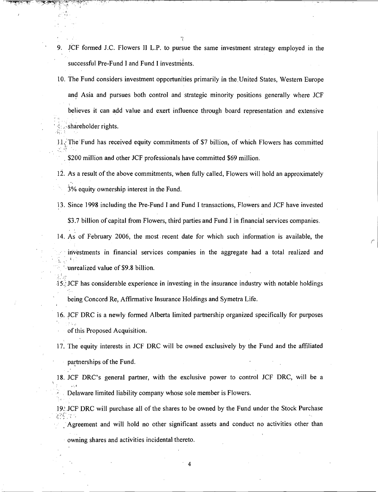- 9. JCF formed J.C. Flowers **11** L.P. to pursue the same investment strategy employed in the successful Pre-Fund I and Fund I investments.
- 10. The Fund considers investment opportunities primarily in the United States, Western Europe and Asia and pursues both control and strategic minority positions generally where JCF believes it can add value and exert influence through board representation and extensive . . shareholder rights.

- 11. The Fund has received equity commitments of \$7 billion, of which Flowers has committed **c**. . . . \$200 million and other JCF professionals have committed \$69 million.
- 12. As a result of the above commitments, when fully called, Flowers will hold an approximately  $3%$  equity ownership interest in the Fund.
- 13. Since 1998 including the Pre-Fund I and Fund I transactions, Flowers and JCF have invested \$3.7 billion of capital from Flowers, third parties and Fund I in financial services companies.
- 14. As of February 2006, the most recent date for which such information is available, the investments in financial services companies in the aggregate had a total realized and  $\ddot{\phantom{a}}$

unrealized value of \$9.8 billion.

- 15.'JCF has considerable experience in investing in the insurance industry with notable holdings being Concord Re, Affirmative Insurance Holdings and Symetra Life.
- 16. JCF DRC is a newly formed Alberta limited partnership organized specifically for purposes of this Proposed Acquisition.

17. The equity interests in JCF DRC will be owned exclusively by the Fund and the affiliated

partnerships of the Fund.

18. JCF DRC's general partner, with the exclusive power to control JCF DRC, will be a  $\mathbf{g}(\cdot)$ Delaware limited liability company whose sole member is Flowers.

19. JCF DRC will purchase all of the shares to be owned by the Fund under the Stock Purchase  $\mathcal{U}^T_{\mathcal{I}}$ 

Agreement and will hold no other significant assets and conduct no activities other than

4

owning shares and activities incidental thereto.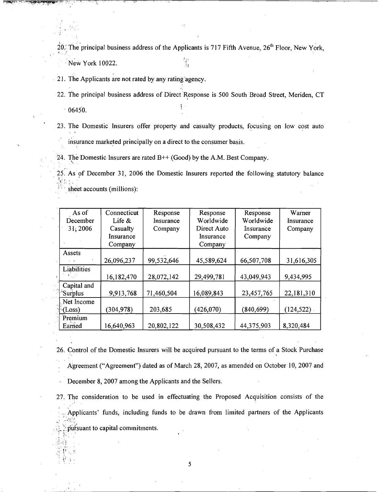20. The principal business address of the Applicants is 717 Fifth Avenue,  $26<sup>th</sup>$  Floor, New York. New York 10022.

21. The Applicants are not rated by any rating agency.

22. The principal business address of Direct Response is 500 South Broad Street, Meriden, CT ţ.  $06450.$ 

23. The Domestic Insurers offer property and casualty products, focusing on low cost auto . **<sup>s</sup>** insurance marketed principally on a direct to the consumer basis.

24. The Domestic Insurers are rated  $B++$  (Good) by the A.M. Best Company.

 $\ddot{\cdot}$ 25. As of December 31, 2006 the Domestic Insurers reported the following statutory balance  $\frac{1}{4}$ ,  $\frac{1}{2}$ . ..

sheet accounts (millions):

| As of          | Connecticut | Response   | Response    | Response   | Warner     |
|----------------|-------------|------------|-------------|------------|------------|
| December       | Life $\&$   | Insurance  | Worldwide   | Worldwide  | Insurance  |
| 31, 2006       | Casualty    | Company    | Direct Auto | Insurance  | Company    |
|                | Insurance   |            | Insurance   | Company    |            |
|                | Company     |            | Company     |            |            |
| Assets         |             |            |             |            |            |
|                | 26,096,237  | 99,532,646 | 45,589,624  | 66,507,708 | 31,616,305 |
| Liabilities    |             |            |             |            |            |
|                | 16,182,470  | 28,072,142 | 29,499,781  | 43,049,943 | 9,434,995  |
| Capital and    |             |            |             |            |            |
| 'Surplus       | 9,913,768   | 71,460,504 | 16,089,843  | 23,457,765 | 22,181,310 |
| Net Income     |             |            |             |            |            |
| $\cdot$ (Loss) | (304, 978)  | 203,685    | (426, 070)  | (840, 699) | (124, 522) |
| Premium        |             |            |             |            |            |
| Earned         | 16,640,963  | 20,802,122 | 30,508,432  | 44,375,903 | 8,320,484  |

- 26. Control of the Domestic Insurers will be acquired pursuant to the terms of a Stock Purchase Agreement ("Agreement") dated as of March 28, 2007, as amended on October 10, 2007 and December 8, 2007 among the Applicants and the Sellers.
- 27. The consideration to be used in effectuating the Proposed Acquisition consists of the  $\mathcal{L}^{(1)}$ Applicants' funds, including funds to be drawn from limited partners of the Applicants pursuant to capital commitments.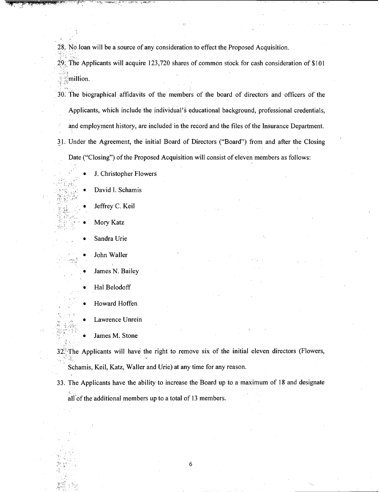28. No loan will be a source of any consideration to effect the Proposed Acquisition.

29. The Applicants will acquire 123,720 shares of common stock for cash consideration of \$10 1

. .

30. The biographical affidavits of the members of the board of directors and officers of the Applicants, which include the individual's educational background, professional credentials, ' and employment history, are included in the record and the files of the Insurance Department. 31. Under the Agreement, the initial Board of Directors ("Board") from and after the Closing Date ("Closing") of the Proposed Acquisition will consist of eleven members as follows:

J. Christopher Flowers

David I. Schamis

Jeffrey C. Keil

Mory Katz

Sandra Urie

John Waller

James N. Bailey

Hal Belodoff

",

Howard Hoffen

Lawrence Unrein

James M. Stone

 $32$ . The Applicants will have the right to remove six of the initial eleven directors (Flowers,

Schamis, Keil, Katz, Waller and Urie) at any time for any reason.

33. The Applicants have the ability to increase the Board up to a maximum of 18 and designate all of the additional members up to a total of 13 members.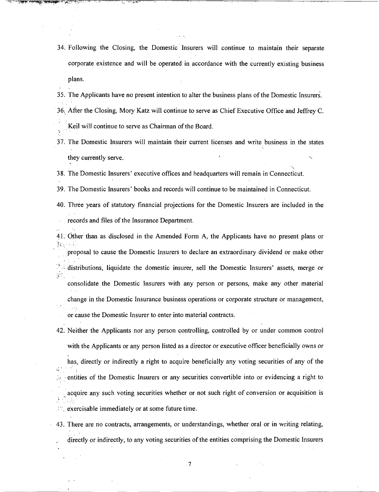34. Following the Closing, the Domestic: Insurers will continue to maintain their separate corporate existence and will be operated in accordance with the currently existing business plans.

35. The Applicants have no present intention to alter the business plans of the Domestic Insurers.

36. After the Closing, Mory Katz will continue to serve as Chief Executive Office and Jeffrey C.

.Keil will continue to serve as Chairman of the Board.  $\ddot{\phantom{a}}$ 

**I.** 

 $\mathcal{L}$ 

37. The Domestic Insurers will maintain their current licenses and write business in the states  $\overline{\phantom{a}}$ they currently serve.

 $\sum_{i=1}^{n}$ **38.** The Domestic Insurers' executive offices and headquarters will remain in Connecticut.

39. The Domestic Insurers' books and records will continue to be maintained in Connecticut.

40. Three years of statutory financial projections for the Domestic Insurers are included in the records and files of the Insurance Department.

41. Other than as disclosed in the Amended Form A, the Applicants have no present plans or  $3\zeta$ ,  $\zeta$ ,  $\zeta$ 

,. . . .. proposal to cause the Domestic Insurers to declare an extraordinary dividend or make other distributions, liquidate the domestic insurer, sell the Domestic Insurers' assets, merge or  $5^{\circ}$  . consolidate the Domestic Insurers with any person or persons, make any other material

dhange in the Domestic Insurance business operations or corporate structure or management,

or cause the Domestic Insurer to enter into material contracts.

42. Neither the Applicants nor any person controlling, controlled by or under common control with the Applicants or any person listed as a director or executive officer beneficially owns or has, directly or indirectly a right to acquire beneficially any voting securities of any of the *68*  entities of the Domestic Insurers or any securities convertible into or evidencing a right to acquire any such voting securities whether or not such right of conversion or acquisition is : exercisable immediately or at some future time.

43. There are no contracts, arrangements, or understandings, whether oral or in writing relating, directly or indirectly, to any voting securities of the entities comprising the Domestic Insurers

 $\overline{7}$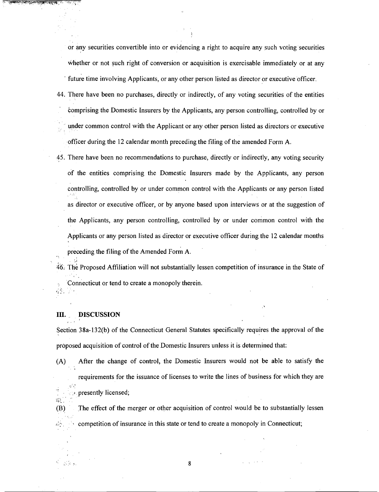or any securities convertible into or evidencing a right to acquire any such voting securities whether or not such right of conversion or acquisition is exercisable immediately or at any future time involving Applicants, or any other person listed as director or executive officer.

- 44. There have been no purchases, directly or indirectly, of any voting securities of the entities bomprising the Domestic Insurers by the Applicants, any person controlling, controlled by or under common control with the Applicant or any other person listed as directors or executive officer during the 12 calendar month preceding the filing of the amended Form A.
- 45. There have been no recommendations to purchase, directly or indirectly, any voting security of the entities comprising the Domestic Insurers made by the Applicants, any person controlling, controlled by or under common control with the Applicants or any person listed as director or executive officer, or by anyone based upon interviews or at the suggestion of the Applicants, any person controlling, controlled by or under common control with the Applicants or any person listed as director or executive officer during the 12 calendar months preceding the filing of the Amended Form A.

46. The Proposed Affiliation will not substantially lessen competition of insurance in the State of **Connecticut or tend to create a monopoly therein.**  $\frac{1}{45}$ 

## **111.** . **DISCUSSION**

**I.** 

**'tl** .

 $\mathcal{L}^{\mathcal{L}}(S)$  .

Section 38a-132(b) of the Connecticut General Statutes specifically requires the approval of the proposed acquisition of control of the Domestic Insurers unless it is determined that:

(A) After the change of control, the Domestic Insurers would not be able to satisfy the requirements for the issuance of licenses to write the lines of business for which they are , . **.7** presently licensed;

(B) The effect of the merger or other acquisition of control would be to substantially lessen  $\mathbb{Z}_{\geq 0}^{\mathbb{Z}}$ : competition of insurance in this state or tend to create a monopoly in Connecticut;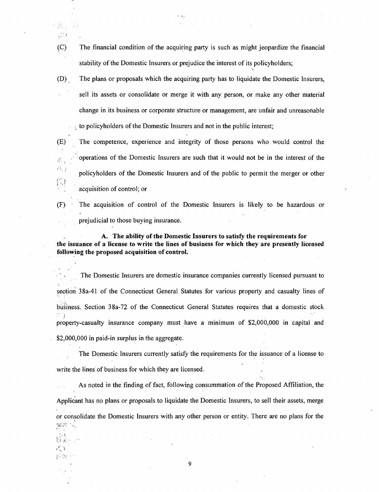- (C) The financial condition of the acquiring party is such as might jeopardize the financial stability of the Domestic Insurers or prejudice the interest of its policyholders;
- (D) , The plans or proposals which the acquiring party has to liquidate the Domestic Insurers, sell its assets or consolidate or merge it with any person, or make any other material change in its business or corporate structure or management, are unfair and unreasonable to policyholders of the Domestic Insurers and not in the public interest;
- (E) The competence, experience and integrity of those persons who would control the  $\mathcal{L}_{\mathcal{L}_{\mathcal{L}}^{\mathcal{L}_{\mathcal{L}}}(\mathcal{L}_{\mathcal{L}})}$  operations of the Domestic Insurers are such that it would not be in the interest of the  $\mathcal{L}$ . .: . .: . . . . . . policyholders of the Domestic Insurers and of the public to permit the merger or other acquisition of control; or

 $\left(\frac{\partial}{\partial x}\right)$ 

 $\mathbb{C}^{\mathbb{N}}$ 

**1** 

 $\mathbf{r}_i$ **L'** > f\* **.c I I.** 'I. . , -.

(F) The acquisition of control of the Domestic Insurers is likely to be hazardous or prejudicial to those buying insurance.

**A. The ability of the Domestic Insurers to satisfy the requirements for the issuance of a license to write the lines of business for which they are presently licensed following the proposed acquisition of control.** 

The Domestic Insurers are domestic insurance companies currently licensed pursuant to section 38a-41 of the Connecticut General Statutes for various property and casualty lines of business. Section 38a-72 of the Connecticut General Statutes requires that a domestic stock I property-casualty insurance company must have a minimum of  $$2,000,000$  in capital and \$2,000,000 in paid-in surplus in the aggregate.

The Domestic Insurers currently satisfy the requirements for the issuance of a license to write the lines'of business for which they are licensed.

As noted in the finding of fact, following consummation of the Proposed Affiliation, the Applicant has no plans or proposals to liquidate the Domestic Insurers, to sell their assets, merge or consolidate the Domestic Insurers with any other person or entity. There are no plans for the **<sup>I</sup>**  $\mathbb{R}^{n+1}$  .  $\mathbb{R}^{n}_{+}$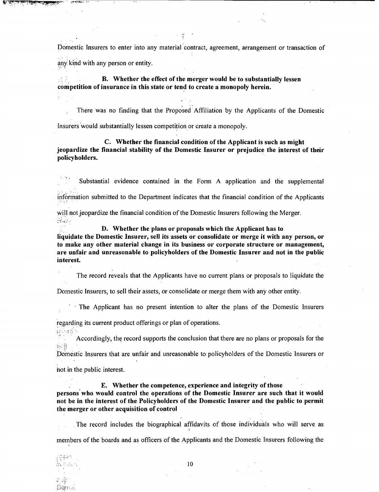Domestic Insurers to enter into any material contract, agreement, arrangement or transaction of any kind with any person or entity.

B. Whether the effect of the merger would be to substantially lessen competition of insurance in this state or tend to create a monopoly herein.

There was no finding that the Proposed Affiliation by the Applicants of the Domestic Insurers would substantially lessen competition or create a monopoly.

C. Whether the financial condition of the Applicant is such as might jeopardize the financial stability of the Domestic Insurer or prejudice the interest of their policyholders.

Substantial evidence contained in the Form A application and the supplemental

information submitted to the Department indicates that the financial condition of the Applicants

will not jeopardize the financial condition of the Domestic Insurers following the Merger. **s'.\*,,** ,

D. Whether the plans or proposals which the Applicant has to

liquidate the Domestic Insurer, sell its assets or consolidate or merge it with any person, or to make any other material change in its business or corporate structure or management, are unfair and unreasonable to policyholders of the Domestic Insurer and not in the public interest.

The record reveals that the Applicants have no current plans or proposals to liquidate the

Domestic Insurers, to sell their assets, or consolidate or merge them with any other entity.

The Applicant has no present intention to alter the plans of the Domestic Insurers

regarding its current product offerings or plan of operations.

**J.** I.. '

+.

Accordingly, the record supports the conclusion that there are no plans or proposals for the  $\frac{1}{2}$ ,  $\frac{1}{2}$ 

Domestic Insurers that are unfair and unreasonable to policyholders of the Domestic Insurers or

not in the public interest.

E. Whether the competence, experience and integrity of those persons'who would control the operations of the Domestic Insurer are such that it would not be in the interest of the Policyholders of the Domestic Insurer and the public to permit the merger or other acquisition of control

The record includes the biographical affidavits- of those individuals who will serve as **P**  members of the boards and as officers of the Applicants and the Domestic Insurers following the

हुन्दे देवे हैं।<br>इन्हें देवे हैं 第二次 852 ្រះម៉ូ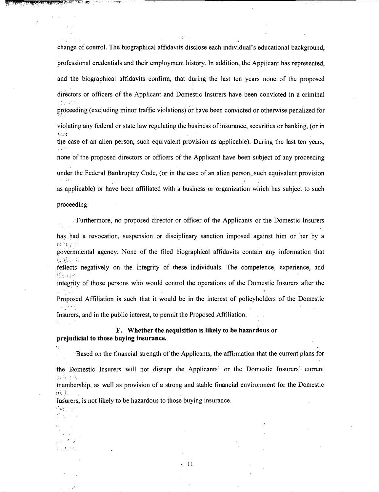change of control. The biographical affidavits disclose each individual's educational background, professional credentials and their employment history. In addition, the Applicant has represented, and the biographical affidavits confirm, that during the last ten years none of the proposed directors or officers of the Applicant and Domestic Insurers have been convicted in a criminal  $\mathcal{P} \times \{p_i\}$ proceeding (excluding minor traffic violations) or have been convicted or otherwise penalized for violating any federal or state law regulating the business of insurance, securities or banking, (or in '.->\*: the case of an alien person, such equivalent provision as applicable). During the last ten years, none of the proposed directors or officers of the Applicant have been subject of any proceeding under the Federal Bankruptcy Code, (or in the case of an alien person,, such equivalent provision as applicable) or have been affiliated with a business or organization which has subject to such proceeding.

Furthennore, no proposed director or officer of the Applicants or the Domestic Insurers has had a revocation, suspension or disciplinary sanction imposed against him or her by a  $m$ ' $n<$ ! $i$ governmental agency. None of the filed biographical affidavits contain any information that .,.lii . '. . . ., reflects negatively on the integrity of these individuals. The competence, experience, and  $\ddot{\theta}$ . integrity of those persons who would control the operations of the Domestic Insurers after the proposed Affiliation is such that it would be in the interest of policyholders of the Domestic . **I..I** \* r. ! Insurers, and in the public interest, to permit the Proposed Affiliation.

**F. Whether the acquisition is likely to be hazardous or prejudicial to those buying insurance.** 

.Based on the financial strength of the Applicants, the affirmation that the current plans for the Domestic Insurers will not disrupt the Applicants' or the Domestic Insurers' current .> , : **I**  membership, as well as provision of a strong and stable financial environment for the Domestic **!!.y.<,t:'** . .

Insurers, is not likely to be hazardous to those buying insurance.

',<r: .' : :

小规定的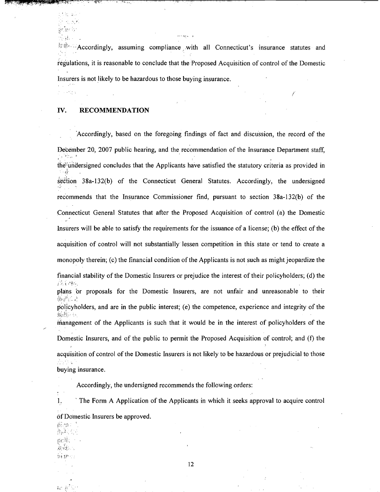**EXACCORDIGITY** assuming compliance with all Connecticut's insurance statutes and regulations, it is reasonable to conclude that the Proposed Acquisition of control of the Domestic Insurers is not likely to be hazardous to those buying insurance.

i

**IV. RECOMMENDATION** 

1.580%  $\mathcal{L} = \{ \mathbf{q} \}$ in ar iv  $\mathcal{H}_{\mathrm{S}}(A)$  .

the Park

'Accordingly, based on the foregoing findings of fact and discussion, the record of the December 20, 2007 public hearing, and the recommendation of the Insurance Department staff, **r,**  the2undersigned concludes that the Applicants have satisfied the statutory criteria as provided in section 38a-132(b) of the Connecticut General Statutes. Accordingly, the undersigned recommends that the Insurance Commissioner find, pursuant to section 38a-132(b) of the Connecticut General Statutes that after the Proposed Acquisition of control **(a)** the Domestic Insurers will be able to satisfy the requirements for the issuance of a license; (b) the effect of the acquisition of control will not substantially lessen competition in this state or tend to create a monopoly therein; (c) the financial condition of the Applicants is not such as might jeopardize the financial stability of the Domestic Insurers or prejudice the interest of their policyholders; (d) the <sup>r</sup>< 'f plans or proposals for the Domestic Insurers, are not unfair and unreasonable to their  $\lim_{n \to \infty}$ policyholders, and are in the public interest; (e) the competence, experience and integrity of the  $\frac{1}{2}$ management of the Applicants is such that it would be in the interest of policyholders of the / Domestic Insurers, and of the public to permit the Proposed Acquisition of control; and (f) the acquisition of control of the Domestic Insurers is not likely to be hazardous or prejudicial to those  $\sim$  . . buying insurance.

Accordingly, the undersigned recommends the following orders:

1: ' The Form A Application of the Applicants in which it seeks approval to acquire control

of Domestic Insurers be approved.

۲. **I** *".+I*   $\prod_{i=1}^n \mu_i H_{\alpha_i}$  . . ,..; :.,, **<sup>r</sup> i** 11.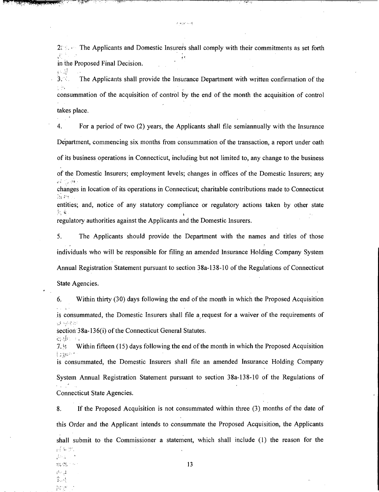2:  $\therefore$ : The Applicants and Domestic Insurers shall comply with their commitments as set forth in the Proposed Final Decision.<br> $\bigcup_{i=1}^n$ 

وأناد يوماغ

**3. 2. The Applicants shall provide the Insurance Department with written confirmation of the** r Ac. consummation of the acquisition of control by the end of the month the acquisition of control takes place.

**4.** For a period of two (2) years, the Applicants shall file semiannually with the Insurance Department, commencing six months from consummation of the transaction, a report under oath of its business operations in Connecticut, including but not limited to, any change to the business of the Domestic Insurers; employment levels; changes in offices of the Domestic Insurers; any  $4.1$   $\%$   $+0.1$ changes in location of its operations in Connecticut; charitable contributions made to Connecticut **a.** ;%! **.I,**  entities; and, notice of any statutory compliance or regulatory actions taken by other state **r.,** . !:; **f: I** 

regulatory authorities against the Applicants and the Domestic Insurers.

5. The Applicants should provide the Department with the names and titles of those individuals who will be responsible for filing an amended lnsurance Holding Company System Annual Registration Statement pursuant to section 38a-138-10 of the Regulations of Connecticut

State Agencies.

"'.:.!;;' .. **1.. i** .

;:.. . **..I ';s...** ..: a. ... . **:I** . : ../ . . .

6. Within thirty (30) days following the end of the month in which the Proposed Acquisition . ,' is consummated, the Domestic Insurers shall file a request for a waiver of the requirements of  $\mu$ ...

section 38a-136(i) of the Connecticut General Statutes.

**7. Within fifteen** (15) days following the end of the month in which the Proposed Acquisition  $\frac{1}{2}$ is consummated, the Domestic Insurers shall file an amended Insurance Holding Company System Annual Registration Statement pursuant to section 38a-138-10 of the Regulations of Connecticut State Agencies.

8. If the Proposed Acquisition is not consummated within three (3) months of the date of this Order and the Applicant intends to consummate the Proposed Acquisition, the Applicants shall submit to the Commissioner a statement, which shall include (1) the reason for the .). .: : **7,** . , . . . . . **r.** - ,!, **.ix** . ~, **r.b..r. 13**